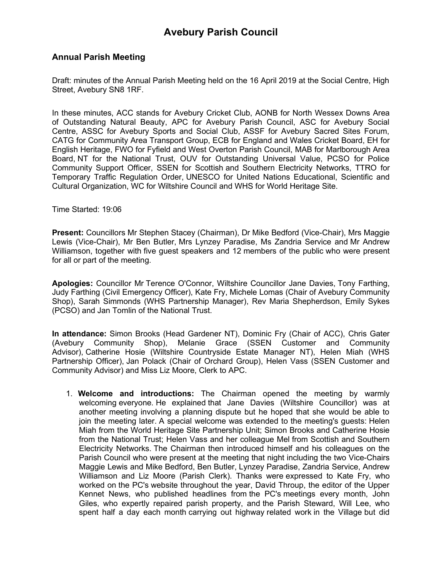#### **Annual Parish Meeting**

Draft: minutes of the Annual Parish Meeting held on the 16 April 2019 at the Social Centre, High Street, Avebury SN8 1RF.

In these minutes, ACC stands for Avebury Cricket Club, AONB for North Wessex Downs Area of Outstanding Natural Beauty, APC for Avebury Parish Council, ASC for Avebury Social Centre, ASSC for Avebury Sports and Social Club, ASSF for Avebury Sacred Sites Forum, CATG for Community Area Transport Group, ECB for England and Wales Cricket Board, EH for English Heritage, FWO for Fyfield and West Overton Parish Council, MAB for Marlborough Area Board, NT for the National Trust, OUV for Outstanding Universal Value, PCSO for Police Community Support Officer, SSEN for Scottish and Southern Electricity Networks, TTRO for Temporary Traffic Regulation Order, UNESCO for United Nations Educational, Scientific and Cultural Organization, WC for Wiltshire Council and WHS for World Heritage Site.

Time Started: 19:06

**Present:** Councillors Mr Stephen Stacey (Chairman), Dr Mike Bedford (Vice-Chair), Mrs Maggie Lewis (Vice-Chair), Mr Ben Butler, Mrs Lynzey Paradise, Ms Zandria Service and Mr Andrew Williamson, together with five guest speakers and 12 members of the public who were present for all or part of the meeting.

**Apologies:** Councillor Mr Terence O'Connor, Wiltshire Councillor Jane Davies, Tony Farthing, Judy Farthing (Civil Emergency Officer), Kate Fry, Michele Lomas (Chair of Avebury Community Shop), Sarah Simmonds (WHS Partnership Manager), Rev Maria Shepherdson, Emily Sykes (PCSO) and Jan Tomlin of the National Trust.

**In attendance:** Simon Brooks (Head Gardener NT), Dominic Fry (Chair of ACC), Chris Gater (Avebury Community Shop), Melanie Grace (SSEN Customer and Community Advisor), Catherine Hosie (Wiltshire Countryside Estate Manager NT), Helen Miah (WHS Partnership Officer), Jan Polack (Chair of Orchard Group), Helen Vass (SSEN Customer and Community Advisor) and Miss Liz Moore, Clerk to APC.

1. **Welcome and introductions:** The Chairman opened the meeting by warmly welcoming everyone. He explained that Jane Davies (Wiltshire Councillor) was at another meeting involving a planning dispute but he hoped that she would be able to join the meeting later. A special welcome was extended to the meeting's guests: Helen Miah from the World Heritage Site Partnership Unit; Simon Brooks and Catherine Hosie from the National Trust; Helen Vass and her colleague Mel from Scottish and Southern Electricity Networks. The Chairman then introduced himself and his colleagues on the Parish Council who were present at the meeting that night including the two Vice-Chairs Maggie Lewis and Mike Bedford, Ben Butler, Lynzey Paradise, Zandria Service, Andrew Williamson and Liz Moore (Parish Clerk). Thanks were expressed to Kate Fry, who worked on the PC's website throughout the year, David Throup, the editor of the Upper Kennet News, who published headlines from the PC's meetings every month, John Giles, who expertly repaired parish property, and the Parish Steward, Will Lee, who spent half a day each month carrying out highway related work in the Village but did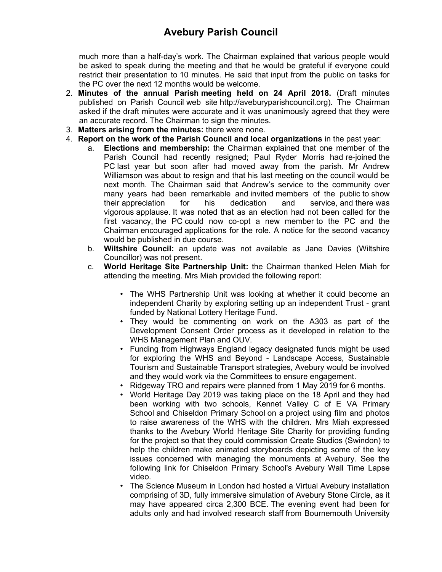much more than a half-day's work. The Chairman explained that various people would be asked to speak during the meeting and that he would be grateful if everyone could restrict their presentation to 10 minutes. He said that input from the public on tasks for the PC over the next 12 months would be welcome.

- 2. **Minutes of the annual Parish meeting held on 24 April 2018.** (Draft minutes published on Parish Council web site http://aveburyparishcouncil.org). The Chairman asked if the draft minutes were accurate and it was unanimously agreed that they were an accurate record. The Chairman to sign the minutes.
- 3. **Matters arising from the minutes:** there were none.
- 4. **Report on the work of the Parish Council and local organizations** in the past year:
	- a. **Elections and membership:** the Chairman explained that one member of the Parish Council had recently resigned; Paul Ryder Morris had re-joined the PC last year but soon after had moved away from the parish. Mr Andrew Williamson was about to resign and that his last meeting on the council would be next month. The Chairman said that Andrew's service to the community over many years had been remarkable and invited members of the public to show their appreciation for his dedication and service, and there was vigorous applause. It was noted that as an election had not been called for the first vacancy, the PC could now co-opt a new member to the PC and the Chairman encouraged applications for the role. A notice for the second vacancy would be published in due course.
	- b. **Wiltshire Council:** an update was not available as Jane Davies (Wiltshire Councillor) was not present.
	- c. **World Heritage Site Partnership Unit:** the Chairman thanked Helen Miah for attending the meeting. Mrs Miah provided the following report:
		- The WHS Partnership Unit was looking at whether it could become an independent Charity by exploring setting up an independent Trust - grant funded by National Lottery Heritage Fund.
		- They would be commenting on work on the A303 as part of the Development Consent Order process as it developed in relation to the WHS Management Plan and OUV.
		- Funding from Highways England legacy designated funds might be used for exploring the WHS and Beyond - Landscape Access, Sustainable Tourism and Sustainable Transport strategies, Avebury would be involved and they would work via the Committees to ensure engagement.
		- Ridgeway TRO and repairs were planned from 1 May 2019 for 6 months.
		- World Heritage Day 2019 was taking place on the 18 April and they had been working with two schools, Kennet Valley C of E VA Primary School and Chiseldon Primary School on a project using film and photos to raise awareness of the WHS with the children. Mrs Miah expressed thanks to the Avebury World Heritage Site Charity for providing funding for the project so that they could commission Create Studios (Swindon) to help the children make animated storyboards depicting some of the key issues concerned with managing the monuments at Avebury. See the following link for Chiseldon Primary School's Avebury Wall Time Lapse video.
		- The Science Museum in London had hosted a Virtual Avebury installation comprising of 3D, fully immersive simulation of Avebury Stone Circle, as it may have appeared circa 2,300 BCE. The evening event had been for adults only and had involved research staff from Bournemouth University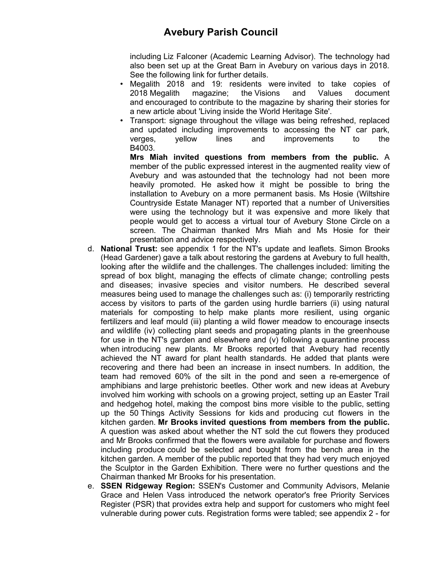including Liz Falconer (Academic Learning Advisor). The technology had also been set up at the Great Barn in Avebury on various days in 2018. See the following link for further details.

- Megalith 2018 and 19: residents were invited to take copies of 2018 Megalith magazine; the Visions and Values document and encouraged to contribute to the magazine by sharing their stories for a new article about 'Living inside the World Heritage Site'.
- Transport: signage throughout the village was being refreshed, replaced and updated including improvements to accessing the NT car park, verges, yellow lines and improvements to the B4003.

**Mrs Miah invited questions from members from the public.** A member of the public expressed interest in the augmented reality view of Avebury and was astounded that the technology had not been more heavily promoted. He asked how it might be possible to bring the installation to Avebury on a more permanent basis. Ms Hosie (Wiltshire Countryside Estate Manager NT) reported that a number of Universities were using the technology but it was expensive and more likely that people would get to access a virtual tour of Avebury Stone Circle on a screen. The Chairman thanked Mrs Miah and Ms Hosie for their presentation and advice respectively.

- d. **National Trust:** see appendix 1 for the NT's update and leaflets. Simon Brooks (Head Gardener) gave a talk about restoring the gardens at Avebury to full health, looking after the wildlife and the challenges. The challenges included: limiting the spread of box blight, managing the effects of climate change; controlling pests and diseases; invasive species and visitor numbers. He described several measures being used to manage the challenges such as: (i) temporarily restricting access by visitors to parts of the garden using hurdle barriers (ii) using natural materials for composting to help make plants more resilient, using organic fertilizers and leaf mould (iii) planting a wild flower meadow to encourage insects and wildlife (iv) collecting plant seeds and propagating plants in the greenhouse for use in the NT's garden and elsewhere and (v) following a quarantine process when introducing new plants. Mr Brooks reported that Avebury had recently achieved the NT award for plant health standards. He added that plants were recovering and there had been an increase in insect numbers. In addition, the team had removed 60% of the silt in the pond and seen a re-emergence of amphibians and large prehistoric beetles. Other work and new ideas at Avebury involved him working with schools on a growing project, setting up an Easter Trail and hedgehog hotel, making the compost bins more visible to the public, setting up the 50 Things Activity Sessions for kids and producing cut flowers in the kitchen garden. **Mr Brooks invited questions from members from the public.** A question was asked about whether the NT sold the cut flowers they produced and Mr Brooks confirmed that the flowers were available for purchase and flowers including produce could be selected and bought from the bench area in the kitchen garden. A member of the public reported that they had very much enjoyed the Sculptor in the Garden Exhibition. There were no further questions and the Chairman thanked Mr Brooks for his presentation.
- e. **SSEN Ridgeway Region:** SSEN's Customer and Community Advisors, Melanie Grace and Helen Vass introduced the network operator's free Priority Services Register (PSR) that provides extra help and support for customers who might feel vulnerable during power cuts. Registration forms were tabled; see appendix 2 - for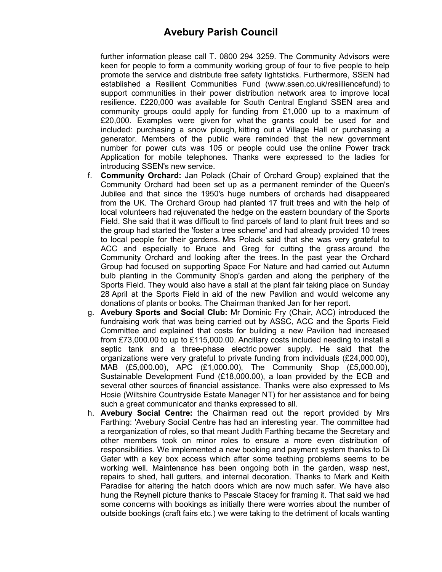further information please call T. 0800 294 3259. The Community Advisors were keen for people to form a community working group of four to five people to help promote the service and distribute free safety lightsticks. Furthermore, SSEN had established a Resilient Communities Fund (www.ssen.co.uk/resiiliencefund) to support communities in their power distribution network area to improve local resilience. £220,000 was available for South Central England SSEN area and community groups could apply for funding from £1,000 up to a maximum of £20,000. Examples were given for what the grants could be used for and included: purchasing a snow plough, kitting out a Village Hall or purchasing a generator. Members of the public were reminded that the new government number for power cuts was 105 or people could use the online Power track Application for mobile telephones. Thanks were expressed to the ladies for introducing SSEN's new service.

- f. **Community Orchard:** Jan Polack (Chair of Orchard Group) explained that the Community Orchard had been set up as a permanent reminder of the Queen's Jubilee and that since the 1950's huge numbers of orchards had disappeared from the UK. The Orchard Group had planted 17 fruit trees and with the help of local volunteers had rejuvenated the hedge on the eastern boundary of the Sports Field. She said that it was difficult to find parcels of land to plant fruit trees and so the group had started the 'foster a tree scheme' and had already provided 10 trees to local people for their gardens. Mrs Polack said that she was very grateful to ACC and especially to Bruce and Greg for cutting the grass around the Community Orchard and looking after the trees. In the past year the Orchard Group had focused on supporting Space For Nature and had carried out Autumn bulb planting in the Community Shop's garden and along the periphery of the Sports Field. They would also have a stall at the plant fair taking place on Sunday 28 April at the Sports Field in aid of the new Pavilion and would welcome any donations of plants or books. The Chairman thanked Jan for her report.
- g. **Avebury Sports and Social Club:** Mr Dominic Fry (Chair, ACC) introduced the fundraising work that was being carried out by ASSC, ACC and the Sports Field Committee and explained that costs for building a new Pavilion had increased from £73,000.00 to up to £115,000.00. Ancillary costs included needing to install a septic tank and a three-phase electric power supply. He said that the organizations were very grateful to private funding from individuals (£24,000.00), MAB (£5,000.00), APC (£1,000.00), The Community Shop (£5,000.00), Sustainable Development Fund (£18,000.00), a loan provided by the ECB and several other sources of financial assistance. Thanks were also expressed to Ms Hosie (Wiltshire Countryside Estate Manager NT) for her assistance and for being such a great communicator and thanks expressed to all.
- h. **Avebury Social Centre:** the Chairman read out the report provided by Mrs Farthing: 'Avebury Social Centre has had an interesting year. The committee had a reorganization of roles, so that meant Judith Farthing became the Secretary and other members took on minor roles to ensure a more even distribution of responsibilities. We implemented a new booking and payment system thanks to Di Gater with a key box access which after some teething problems seems to be working well. Maintenance has been ongoing both in the garden, wasp nest, repairs to shed, hall gutters, and internal decoration. Thanks to Mark and Keith Paradise for altering the hatch doors which are now much safer. We have also hung the Reynell picture thanks to Pascale Stacey for framing it. That said we had some concerns with bookings as initially there were worries about the number of outside bookings (craft fairs etc.) we were taking to the detriment of locals wanting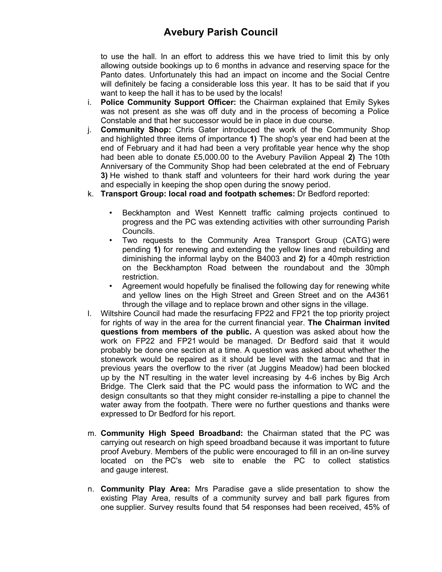to use the hall. In an effort to address this we have tried to limit this by only allowing outside bookings up to 6 months in advance and reserving space for the Panto dates. Unfortunately this had an impact on income and the Social Centre will definitely be facing a considerable loss this year. It has to be said that if you want to keep the hall it has to be used by the locals!

- i. **Police Community Support Officer:** the Chairman explained that Emily Sykes was not present as she was off duty and in the process of becoming a Police Constable and that her successor would be in place in due course.
- j. **Community Shop:** Chris Gater introduced the work of the Community Shop and highlighted three items of importance **1)** The shop's year end had been at the end of February and it had had been a very profitable year hence why the shop had been able to donate £5,000.00 to the Avebury Pavilion Appeal **2)** The 10th Anniversary of the Community Shop had been celebrated at the end of February **3)** He wished to thank staff and volunteers for their hard work during the year and especially in keeping the shop open during the snowy period.
- k. **Transport Group: local road and footpath schemes:** Dr Bedford reported:
	- Beckhampton and West Kennett traffic calming projects continued to progress and the PC was extending activities with other surrounding Parish Councils.
	- Two requests to the Community Area Transport Group (CATG) were pending **1)** for renewing and extending the yellow lines and rebuilding and diminishing the informal layby on the B4003 and **2)** for a 40mph restriction on the Beckhampton Road between the roundabout and the 30mph restriction.
	- Agreement would hopefully be finalised the following day for renewing white and yellow lines on the High Street and Green Street and on the A4361 through the village and to replace brown and other signs in the village.
- l. Wiltshire Council had made the resurfacing FP22 and FP21 the top priority project for rights of way in the area for the current financial year. **The Chairman invited questions from members of the public.** A question was asked about how the work on FP22 and FP21 would be managed. Dr Bedford said that it would probably be done one section at a time. A question was asked about whether the stonework would be repaired as it should be level with the tarmac and that in previous years the overflow to the river (at Juggins Meadow) had been blocked up by the NT resulting in the water level increasing by 4-6 inches by Big Arch Bridge. The Clerk said that the PC would pass the information to WC and the design consultants so that they might consider re-installing a pipe to channel the water away from the footpath. There were no further questions and thanks were expressed to Dr Bedford for his report.
- m. **Community High Speed Broadband:** the Chairman stated that the PC was carrying out research on high speed broadband because it was important to future proof Avebury. Members of the public were encouraged to fill in an on-line survey located on the PC's web site to enable the PC to collect statistics and gauge interest.
- n. **Community Play Area:** Mrs Paradise gave a slide presentation to show the existing Play Area, results of a community survey and ball park figures from one supplier. Survey results found that 54 responses had been received, 45% of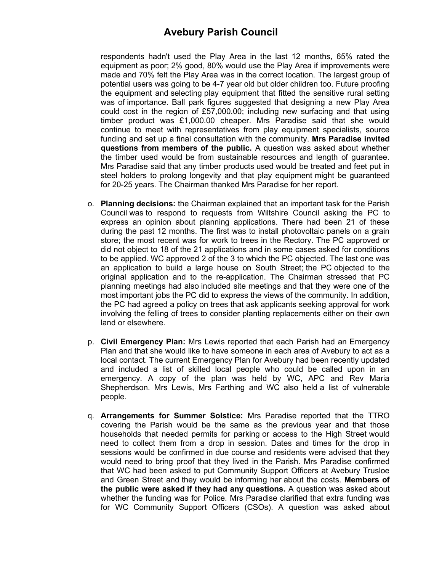respondents hadn't used the Play Area in the last 12 months, 65% rated the equipment as poor; 2% good, 80% would use the Play Area if improvements were made and 70% felt the Play Area was in the correct location. The largest group of potential users was going to be 4-7 year old but older children too. Future proofing the equipment and selecting play equipment that fitted the sensitive rural setting was of importance. Ball park figures suggested that designing a new Play Area could cost in the region of £57,000.00; including new surfacing and that using timber product was £1,000.00 cheaper. Mrs Paradise said that she would continue to meet with representatives from play equipment specialists, source funding and set up a final consultation with the community. **Mrs Paradise invited questions from members of the public.** A question was asked about whether the timber used would be from sustainable resources and length of guarantee. Mrs Paradise said that any timber products used would be treated and feet put in steel holders to prolong longevity and that play equipment might be guaranteed for 20-25 years. The Chairman thanked Mrs Paradise for her report.

- o. **Planning decisions:** the Chairman explained that an important task for the Parish Council was to respond to requests from Wiltshire Council asking the PC to express an opinion about planning applications. There had been 21 of these during the past 12 months. The first was to install photovoltaic panels on a grain store; the most recent was for work to trees in the Rectory. The PC approved or did not object to 18 of the 21 applications and in some cases asked for conditions to be applied. WC approved 2 of the 3 to which the PC objected. The last one was an application to build a large house on South Street; the PC objected to the original application and to the re-application. The Chairman stressed that PC planning meetings had also included site meetings and that they were one of the most important jobs the PC did to express the views of the community. In addition, the PC had agreed a policy on trees that ask applicants seeking approval for work involving the felling of trees to consider planting replacements either on their own land or elsewhere.
- p. **Civil Emergency Plan:** Mrs Lewis reported that each Parish had an Emergency Plan and that she would like to have someone in each area of Avebury to act as a local contact. The current Emergency Plan for Avebury had been recently updated and included a list of skilled local people who could be called upon in an emergency. A copy of the plan was held by WC, APC and Rev Maria Shepherdson. Mrs Lewis, Mrs Farthing and WC also held a list of vulnerable people.
- q. **Arrangements for Summer Solstice:** Mrs Paradise reported that the TTRO covering the Parish would be the same as the previous year and that those households that needed permits for parking or access to the High Street would need to collect them from a drop in session. Dates and times for the drop in sessions would be confirmed in due course and residents were advised that they would need to bring proof that they lived in the Parish. Mrs Paradise confirmed that WC had been asked to put Community Support Officers at Avebury Trusloe and Green Street and they would be informing her about the costs. **Members of the public were asked if they had any questions.** A question was asked about whether the funding was for Police. Mrs Paradise clarified that extra funding was for WC Community Support Officers (CSOs). A question was asked about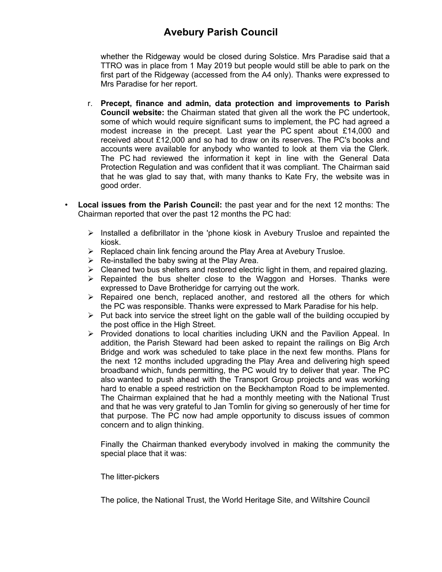whether the Ridgeway would be closed during Solstice. Mrs Paradise said that a TTRO was in place from 1 May 2019 but people would still be able to park on the first part of the Ridgeway (accessed from the A4 only). Thanks were expressed to Mrs Paradise for her report.

- r. **Precept, finance and admin, data protection and improvements to Parish Council website:** the Chairman stated that given all the work the PC undertook, some of which would require significant sums to implement, the PC had agreed a modest increase in the precept. Last year the PC spent about £14,000 and received about £12,000 and so had to draw on its reserves. The PC's books and accounts were available for anybody who wanted to look at them via the Clerk. The PC had reviewed the information it kept in line with the General Data Protection Regulation and was confident that it was compliant. The Chairman said that he was glad to say that, with many thanks to Kate Fry, the website was in good order.
- **Local issues from the Parish Council:** the past year and for the next 12 months: The Chairman reported that over the past 12 months the PC had:
	- $\triangleright$  Installed a defibrillator in the 'phone kiosk in Avebury Trusloe and repainted the kiosk.
	- ➢ Replaced chain link fencing around the Play Area at Avebury Trusloe.
	- $\triangleright$  Re-installed the baby swing at the Play Area.
	- $\triangleright$  Cleaned two bus shelters and restored electric light in them, and repaired glazing.
	- $\triangleright$  Repainted the bus shelter close to the Waggon and Horses. Thanks were expressed to Dave Brotheridge for carrying out the work.
	- $\triangleright$  Repaired one bench, replaced another, and restored all the others for which the PC was responsible. Thanks were expressed to Mark Paradise for his help.
	- $\triangleright$  Put back into service the street light on the gable wall of the building occupied by the post office in the High Street.
	- ➢ Provided donations to local charities including UKN and the Pavilion Appeal. In addition, the Parish Steward had been asked to repaint the railings on Big Arch Bridge and work was scheduled to take place in the next few months. Plans for the next 12 months included upgrading the Play Area and delivering high speed broadband which, funds permitting, the PC would try to deliver that year. The PC also wanted to push ahead with the Transport Group projects and was working hard to enable a speed restriction on the Beckhampton Road to be implemented. The Chairman explained that he had a monthly meeting with the National Trust and that he was very grateful to Jan Tomlin for giving so generously of her time for that purpose. The PC now had ample opportunity to discuss issues of common concern and to align thinking.

Finally the Chairman thanked everybody involved in making the community the special place that it was:

The litter-pickers

The police, the National Trust, the World Heritage Site, and Wiltshire Council